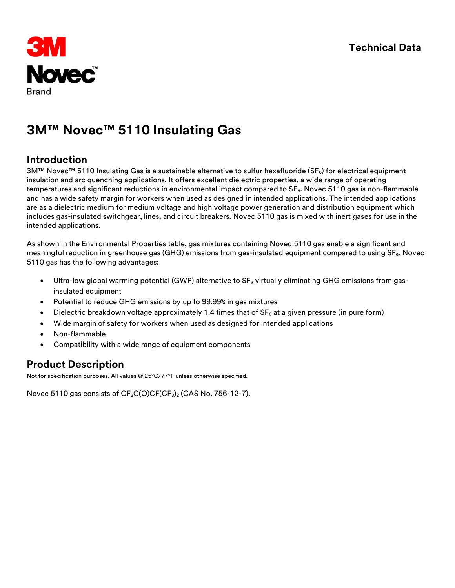

# **3M™ Novec™ 5110 Insulating Gas**

### **Introduction**

3M™ Novec™ 5110 Insulating Gas is a sustainable alternative to sulfur hexafluoride (SF<sub>6</sub>) for electrical equipment insulation and arc quenching applications. It offers excellent dielectric properties, a wide range of operating temperatures and significant reductions in environmental impact compared to  $SF<sub>6</sub>$ . Novec 5110 gas is non-flammable and has a wide safety margin for workers when used as designed in intended applications. The intended applications are as a dielectric medium for medium voltage and high voltage power generation and distribution equipment which includes gas-insulated switchgear, lines, and circuit breakers. Novec 5110 gas is mixed with inert gases for use in the intended applications.

As shown in the Environmental Properties table, gas mixtures containing Novec 5110 gas enable a significant and meaningful reduction in greenhouse gas (GHG) emissions from gas-insulated equipment compared to using SF<sub>6</sub>. Novec 5110 gas has the following advantages:

- Ultra-low global warming potential (GWP) alternative to SF<sub>6</sub> virtually eliminating GHG emissions from gasinsulated equipment
- Potential to reduce GHG emissions by up to 99.99% in gas mixtures
- Dielectric breakdown voltage approximately 1.4 times that of  $SF<sub>6</sub>$  at a given pressure (in pure form)
- Wide margin of safety for workers when used as designed for intended applications
- Non-flammable
- Compatibility with a wide range of equipment components

## **Product Description**

Not for specification purposes. All values @ 25°C/77°F unless otherwise specified.

Novec 5110 gas consists of CF<sub>3</sub>C(O)CF(CF<sub>3</sub>)<sub>2</sub> (CAS No. 756-12-7).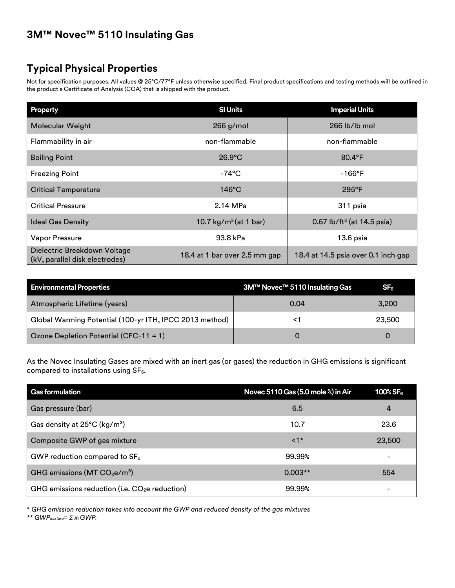# **3M™ Novec™ 5110 Insulating Gas**

# **Typical Physical Properties**

Not for specification purposes. All values @ 25°C/77°F unless otherwise specified. Final product specifications and testing methods will be outlined in the product's Certificate of Analysis (COA) that is shipped with the product.

| Property                                                       | <b>SI Units</b>               | <b>Imperial Units</b>                  |
|----------------------------------------------------------------|-------------------------------|----------------------------------------|
| <b>Molecular Weight</b>                                        | $266$ g/mol                   | 266 lb/lb mol                          |
| Flammability in air                                            | non-flammable                 | non-flammable                          |
| <b>Boiling Point</b>                                           | $26.9^{\circ}$ C              | $80.4^{\circ}$ F                       |
| <b>Freezing Point</b>                                          | -74°C                         | $-166^{\circ}$ F                       |
| <b>Critical Temperature</b>                                    | $146^{\circ}$ C               | $295^{\circ}F$                         |
| <b>Critical Pressure</b>                                       | 2.14 MPa                      | 311 psia                               |
| <b>Ideal Gas Density</b>                                       | 10.7 $kg/m^3$ (at 1 bar)      | 0.67 lb/ft <sup>3</sup> (at 14.5 psia) |
| <b>Vapor Pressure</b>                                          | 93.8 kPa                      | 13.6 psia                              |
| Dielectric Breakdown Voltage<br>(kV, parallel disk electrodes) | 18.4 at 1 bar over 2.5 mm gap | 18.4 at 14.5 psia over 0.1 inch gap    |

| <b>Environmental Properties</b>                         | 3M™ Novec™ 5110 Insulating Gas | SF <sub>6</sub> |
|---------------------------------------------------------|--------------------------------|-----------------|
| Atmospheric Lifetime (years)                            | 0.04                           | 3,200           |
| Global Warming Potential (100-yr ITH, IPCC 2013 method) |                                | 23,500          |
| Ozone Depletion Potential (CFC-11 = 1)                  | $\Omega$                       |                 |

As the Novec Insulating Gases are mixed with an inert gas (or gases) the reduction in GHG emissions is significant compared to installations using  $SF<sub>6</sub>$ .

| <b>Gas formulation</b>                          | Novec 5110 Gas (5.0 mole %) in Air | $100\%$ SF <sub>6</sub> |
|-------------------------------------------------|------------------------------------|-------------------------|
| Gas pressure (bar)                              | 6.5                                | 4                       |
| Gas density at 25°C (kg/m <sup>3</sup> )        | 10.7                               | 23.6                    |
| Composite GWP of gas mixture                    | $\leq 1$ *                         | 23,500                  |
| GWP reduction compared to $SF_6$                | 99.99%                             |                         |
| GHG emissions ( $MT CO2e/m3$ )                  | $0.003**$                          | 554                     |
| GHG emissions reduction (i.e. $CO2e$ reduction) | 99.99%                             | -                       |

\* *GHG emission reduction takes into account the GWP and reduced density of the gas mixtures*

*\*\* GWPmixture= Σi xi GWPi*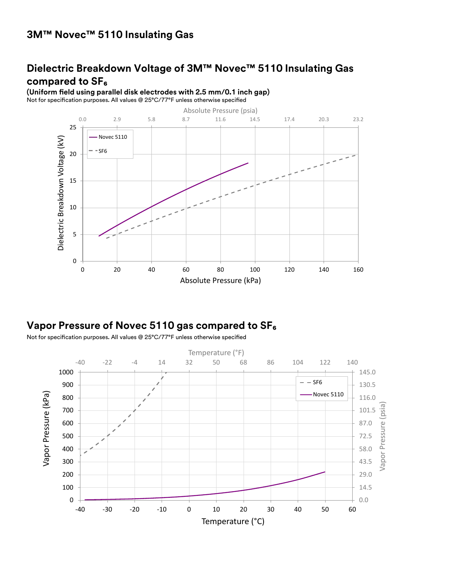## **Dielectric Breakdown Voltage of 3M™ Novec™ 5110 Insulating Gas compared to SF₆**

**(Uniform field using parallel disk electrodes with 2.5 mm/0.1 inch gap)** Not for specification purposes. All values @ 25°C/77°F unless otherwise specified



## **Vapor Pressure of Novec 5110 gas compared to SF₆**

Not for specification purposes. All values @ 25°C/77°F unless otherwise specified

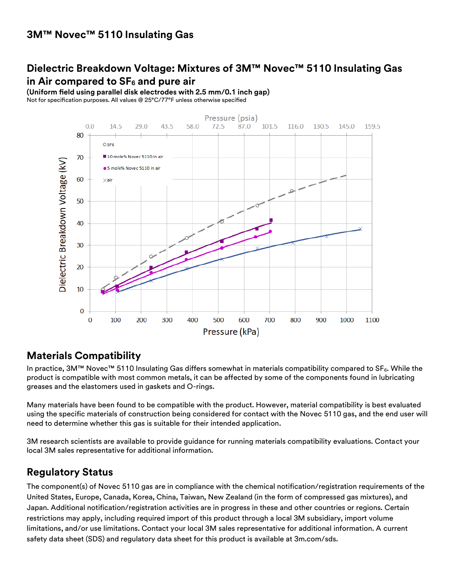# **Dielectric Breakdown Voltage: Mixtures of 3M™ Novec™ 5110 Insulating Gas in Air compared to SF<sup>6</sup> and pure air**

**(Uniform field using parallel disk electrodes with 2.5 mm/0.1 inch gap)**

Not for specification purposes. All values @ 25°C/77°F unless otherwise specified



#### **Materials Compatibility**

In practice, 3M™ Novec™ 5110 Insulating Gas differs somewhat in materials compatibility compared to SF<sub>6</sub>. While the product is compatible with most common metals, it can be affected by some of the components found in lubricating greases and the elastomers used in gaskets and O-rings.

Many materials have been found to be compatible with the product. However, material compatibility is best evaluated using the specific materials of construction being considered for contact with the Novec 5110 gas, and the end user will need to determine whether this gas is suitable for their intended application.

3M research scientists are available to provide guidance for running materials compatibility evaluations. Contact your local 3M sales representative for additional information.

#### **Regulatory Status**

The component(s) of Novec 5110 gas are in compliance with the chemical notification/registration requirements of the United States, Europe, Canada, Korea, China, Taiwan, New Zealand (in the form of compressed gas mixtures), and Japan. Additional notification/registration activities are in progress in these and other countries or regions. Certain restrictions may apply, including required import of this product through a local 3M subsidiary, import volume limitations, and/or use limitations. Contact your local 3M sales representative for additional information. A current safety data sheet (SDS) and regulatory data sheet for this product is available at 3m.com/sds.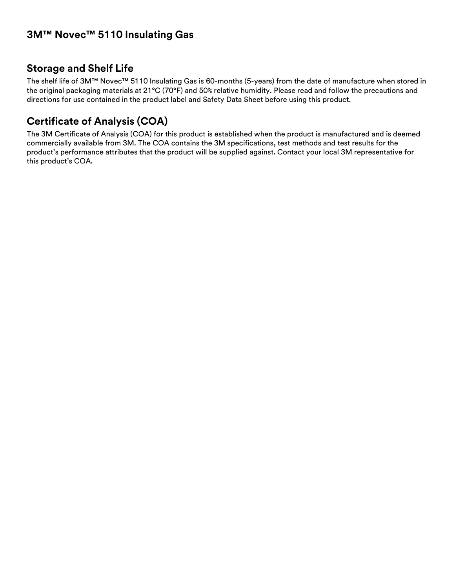### **Storage and Shelf Life**

The shelf life of 3M™ Novec™ 5110 Insulating Gas is 60-months (5-years) from the date of manufacture when stored in the original packaging materials at 21°C (70°F) and 50% relative humidity. Please read and follow the precautions and directions for use contained in the product label and Safety Data Sheet before using this product.

# **Certificate of Analysis (COA)**

The 3M Certificate of Analysis (COA) for this product is established when the product is manufactured and is deemed commercially available from 3M. The COA contains the 3M specifications, test methods and test results for the product's performance attributes that the product will be supplied against. Contact your local 3M representative for this product's COA.